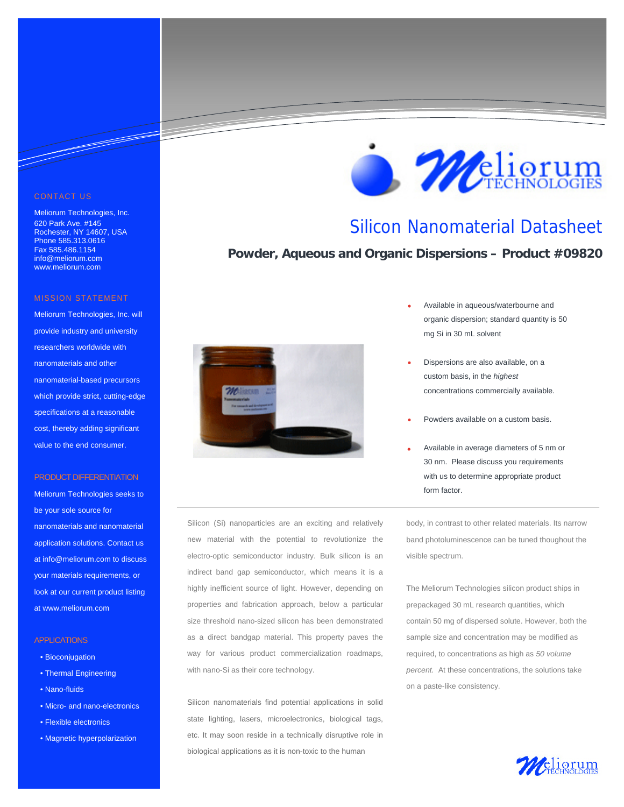#### CONTACT US

<u> Santa Barata Barata Barata Barata Barata Barata Barata Barata Barata Barata Barata Barata Barata Barata Barata Barata Barata Barata Barata Barata Barata Barata Barata Barata Barata Barata Barata Barata Barata Barata Bara</u>

Meliorum Technologies, Inc. 620 Park Ave. #145 Rochester, NY 14607, USA Phone 585.313.0616 Fax 585.486.1154 info@meliorum.com www.meliorum.com

#### MISSION STATEMENT

Meliorum Technologies, Inc. will provide industry and university researchers worldwide with nanomaterials and other nanomaterial-based precursors which provide strict, cutting-edge specifications at a reasonable cost, thereby adding significant value to the end consumer.

#### PRODUCT DIFFERENTIATION

Meliorum Technologies seeks to be your sole source for nanomaterials and nanomaterial application solutions. Contact us at info@meliorum.com to discuss your materials requirements, or look at our current product listing at www.meliorum.com

#### **APPLICATIONS**

- Bioconjugation
- Thermal Engineering
- Nano-fluids
- Micro- and nano-electronics
- Flexible electronics
- Magnetic hyperpolarization



Silicon (Si) nanoparticles are an exciting and relatively new material with the potential to revolutionize the electro-optic semiconductor industry. Bulk silicon is an indirect band gap semiconductor, which means it is a highly inefficient source of light. However, depending on properties and fabrication approach, below a particular size threshold nano-sized silicon has been demonstrated as a direct bandgap material. This property paves the way for various product commercialization roadmaps, with nano-Si as their core technology.

Silicon nanomaterials find potential applications in solid state lighting, lasers, microelectronics, biological tags, etc. It may soon reside in a technically disruptive role in biological applications as it is non-toxic to the human



## Silicon Nanomaterial Datasheet

### **Powder, Aqueous and Organic Dispersions – Product #09820**

- Available in aqueous/waterbourne and organic dispersion; standard quantity is 50 mg Si in 30 mL solvent
- Dispersions are also available, on a custom basis, in the *highest*  concentrations commercially available.
- Powders available on a custom basis.
- Available in average diameters of 5 nm or 30 nm. Please discuss you requirements with us to determine appropriate product form factor.

body, in contrast to other related materials. Its narrow band photoluminescence can be tuned thoughout the visible spectrum.

The Meliorum Technologies silicon product ships in prepackaged 30 mL research quantities, which contain 50 mg of dispersed solute. However, both the sample size and concentration may be modified as required, to concentrations as high as *50 volume percent.* At these concentrations, the solutions take on a paste-like consistency.